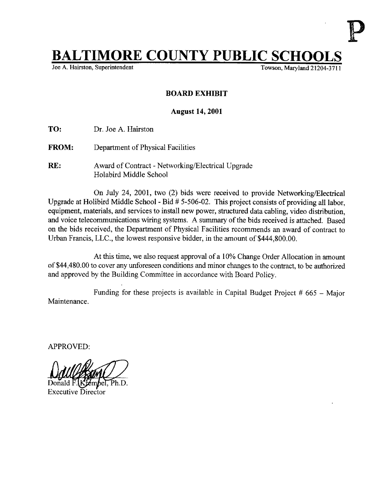## **IMORE COUNTY PUBLIC SCHOOL**<br>n, Superintendent<br>Towson, Maryland 21204-3<sup>-</sup>

Joe A. Hairston, Superintendent

## BOARD EXHIBIT

## August 14, 2001

TO: Dr Joe A. Hairston

- FROM: Department of Physical Facilities
- RE: Award of Contract Networking/Electrical Upgrade Holabird Middle School

On July 24, 2001, two (2) bids were received to provide Networking/Electrical Upgrade at Holibird Middle School - Bid # 5-506-02. This project consists of providing all labor, equipment, materials, and services to install new power, structured data cabling, video distribution, and voice telecommunications wiring systems. A summary of the bids received is attached. Based on the bids received, the Department of Physical Facilities recommends an award of contract to Urban Francis, LLC., the lowest responsive bidder, in the amount of \$444,800.00.

At this time, we also request approval of a 10% Change Order Allocation in amount of\$44,480.00 to cover any unforeseen conditions and minor changes to the contract, to be authorized and approved by the Building Committee in accordance with Board Policy.

Maintenance . Funding for these projects is available in Capital Budget Project  $# 665 -$  Major

APPROVED:

Ph.D. Executive Director